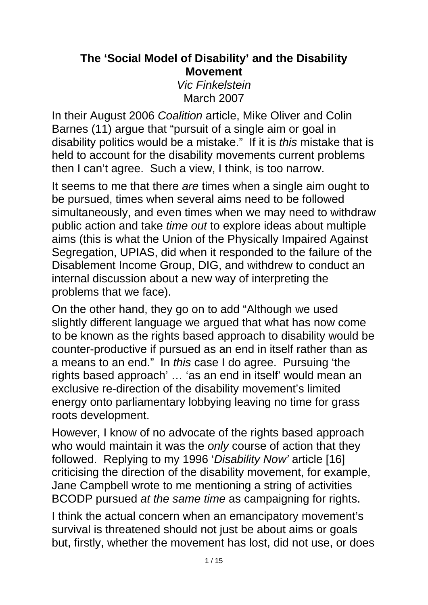#### **The 'Social Model of Disability' and the Disability Movement**  *Vic Finkelstein*  March 2007

In their August 2006 *Coalition* article, Mike Oliver and Colin Barnes (11) argue that "pursuit of a single aim or goal in disability politics would be a mistake." If it is *this* mistake that is held to account for the disability movements current problems then I can't agree. Such a view, I think, is too narrow.

It seems to me that there *are* times when a single aim ought to be pursued, times when several aims need to be followed simultaneously, and even times when we may need to withdraw public action and take *time out* to explore ideas about multiple aims (this is what the Union of the Physically Impaired Against Segregation, UPIAS, did when it responded to the failure of the Disablement Income Group, DIG, and withdrew to conduct an internal discussion about a new way of interpreting the problems that we face).

On the other hand, they go on to add "Although we used slightly different language we argued that what has now come to be known as the rights based approach to disability would be counter-productive if pursued as an end in itself rather than as a means to an end." In *this* case I do agree. Pursuing 'the rights based approach' … 'as an end in itself' would mean an exclusive re-direction of the disability movement's limited energy onto parliamentary lobbying leaving no time for grass roots development.

However, I know of no advocate of the rights based approach who would maintain it was the *only* course of action that they followed. Replying to my 1996 '*Disability Now'* article [16] criticising the direction of the disability movement, for example, Jane Campbell wrote to me mentioning a string of activities BCODP pursued *at the same time* as campaigning for rights.

I think the actual concern when an emancipatory movement's survival is threatened should not just be about aims or goals but, firstly, whether the movement has lost, did not use, or does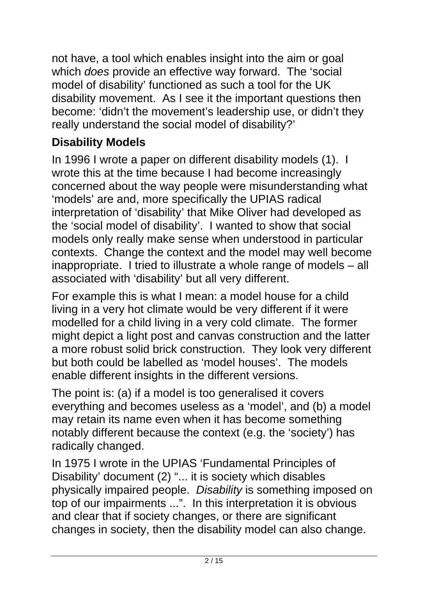not have, a tool which enables insight into the aim or goal which *does* provide an effective way forward. The 'social model of disability' functioned as such a tool for the UK disability movement. As I see it the important questions then become: 'didn't the movement's leadership use, or didn't they really understand the social model of disability?'

## **Disability Models**

In 1996 I wrote a paper on different disability models (1). I wrote this at the time because I had become increasingly concerned about the way people were misunderstanding what 'models' are and, more specifically the UPIAS radical interpretation of 'disability' that Mike Oliver had developed as the 'social model of disability'. I wanted to show that social models only really make sense when understood in particular contexts. Change the context and the model may well become inappropriate. I tried to illustrate a whole range of models – all associated with 'disability' but all very different.

For example this is what I mean: a model house for a child living in a very hot climate would be very different if it were modelled for a child living in a very cold climate. The former might depict a light post and canvas construction and the latter a more robust solid brick construction. They look very different but both could be labelled as 'model houses'. The models enable different insights in the different versions.

The point is: (a) if a model is too generalised it covers everything and becomes useless as a 'model', and (b) a model may retain its name even when it has become something notably different because the context (e.g. the 'society') has radically changed.

In 1975 I wrote in the UPIAS 'Fundamental Principles of Disability' document (2) "... it is society which disables physically impaired people. *Disability* is something imposed on top of our impairments ...". In this interpretation it is obvious and clear that if society changes, or there are significant changes in society, then the disability model can also change.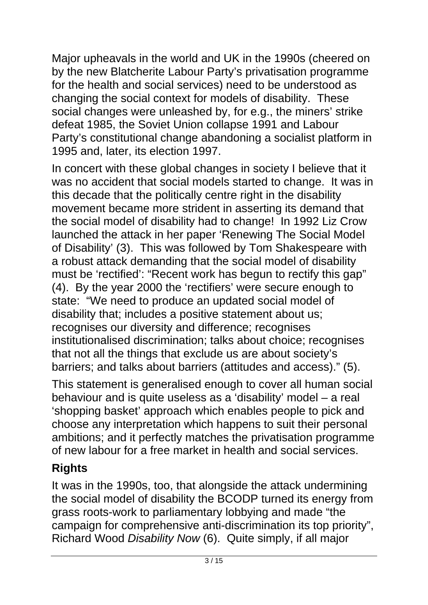Major upheavals in the world and UK in the 1990s (cheered on by the new Blatcherite Labour Party's privatisation programme for the health and social services) need to be understood as changing the social context for models of disability. These social changes were unleashed by, for e.g., the miners' strike defeat 1985, the Soviet Union collapse 1991 and Labour Party's constitutional change abandoning a socialist platform in 1995 and, later, its election 1997.

In concert with these global changes in society I believe that it was no accident that social models started to change. It was in this decade that the politically centre right in the disability movement became more strident in asserting its demand that the social model of disability had to change! In 1992 Liz Crow launched the attack in her paper 'Renewing The Social Model of Disability' (3). This was followed by Tom Shakespeare with a robust attack demanding that the social model of disability must be 'rectified': "Recent work has begun to rectify this gap" (4). By the year 2000 the 'rectifiers' were secure enough to state: "We need to produce an updated social model of disability that; includes a positive statement about us; recognises our diversity and difference; recognises institutionalised discrimination; talks about choice; recognises that not all the things that exclude us are about society's barriers; and talks about barriers (attitudes and access)." (5).

This statement is generalised enough to cover all human social behaviour and is quite useless as a 'disability' model – a real 'shopping basket' approach which enables people to pick and choose any interpretation which happens to suit their personal ambitions; and it perfectly matches the privatisation programme of new labour for a free market in health and social services.

## **Rights**

It was in the 1990s, too, that alongside the attack undermining the social model of disability the BCODP turned its energy from grass roots-work to parliamentary lobbying and made "the campaign for comprehensive anti-discrimination its top priority", Richard Wood *Disability Now* (6). Quite simply, if all major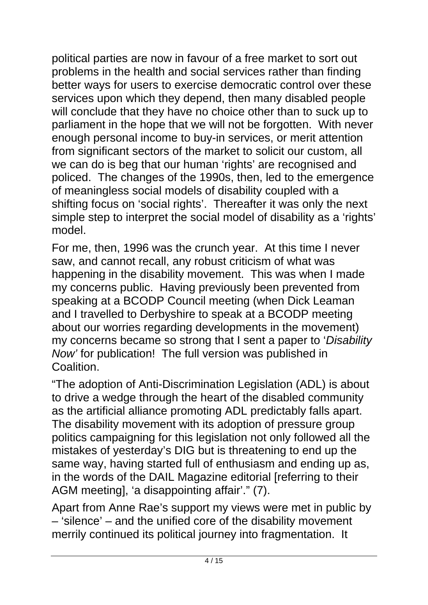political parties are now in favour of a free market to sort out problems in the health and social services rather than finding better ways for users to exercise democratic control over these services upon which they depend, then many disabled people will conclude that they have no choice other than to suck up to parliament in the hope that we will not be forgotten. With never enough personal income to buy-in services, or merit attention from significant sectors of the market to solicit our custom, all we can do is beg that our human 'rights' are recognised and policed. The changes of the 1990s, then, led to the emergence of meaningless social models of disability coupled with a shifting focus on 'social rights'. Thereafter it was only the next simple step to interpret the social model of disability as a 'rights' model.

For me, then, 1996 was the crunch year. At this time I never saw, and cannot recall, any robust criticism of what was happening in the disability movement. This was when I made my concerns public. Having previously been prevented from speaking at a BCODP Council meeting (when Dick Leaman and I travelled to Derbyshire to speak at a BCODP meeting about our worries regarding developments in the movement) my concerns became so strong that I sent a paper to '*Disability Now'* for publication! The full version was published in **Coalition** 

"The adoption of Anti-Discrimination Legislation (ADL) is about to drive a wedge through the heart of the disabled community as the artificial alliance promoting ADL predictably falls apart. The disability movement with its adoption of pressure group politics campaigning for this legislation not only followed all the mistakes of yesterday's DIG but is threatening to end up the same way, having started full of enthusiasm and ending up as, in the words of the DAIL Magazine editorial [referring to their AGM meeting], 'a disappointing affair'." (7).

Apart from Anne Rae's support my views were met in public by – 'silence' – and the unified core of the disability movement merrily continued its political journey into fragmentation. It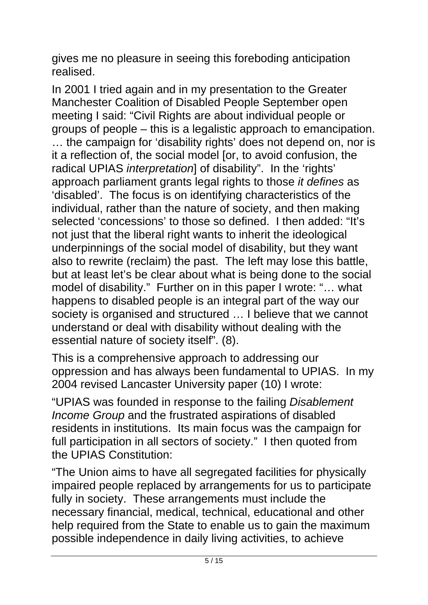gives me no pleasure in seeing this foreboding anticipation realised.

In 2001 I tried again and in my presentation to the Greater Manchester Coalition of Disabled People September open meeting I said: "Civil Rights are about individual people or groups of people – this is a legalistic approach to emancipation. … the campaign for 'disability rights' does not depend on, nor is it a reflection of, the social model [or, to avoid confusion, the radical UPIAS *interpretation*] of disability". In the 'rights' approach parliament grants legal rights to those *it defines* as 'disabled'. The focus is on identifying characteristics of the individual, rather than the nature of society, and then making selected 'concessions' to those so defined. I then added: "It's not just that the liberal right wants to inherit the ideological underpinnings of the social model of disability, but they want also to rewrite (reclaim) the past. The left may lose this battle, but at least let's be clear about what is being done to the social model of disability." Further on in this paper I wrote: "… what happens to disabled people is an integral part of the way our society is organised and structured … I believe that we cannot understand or deal with disability without dealing with the essential nature of society itself". (8).

This is a comprehensive approach to addressing our oppression and has always been fundamental to UPIAS. In my 2004 revised Lancaster University paper (10) I wrote:

"UPIAS was founded in response to the failing *Disablement Income Group* and the frustrated aspirations of disabled residents in institutions. Its main focus was the campaign for full participation in all sectors of society." I then quoted from the UPIAS Constitution:

"The Union aims to have all segregated facilities for physically impaired people replaced by arrangements for us to participate fully in society. These arrangements must include the necessary financial, medical, technical, educational and other help required from the State to enable us to gain the maximum possible independence in daily living activities, to achieve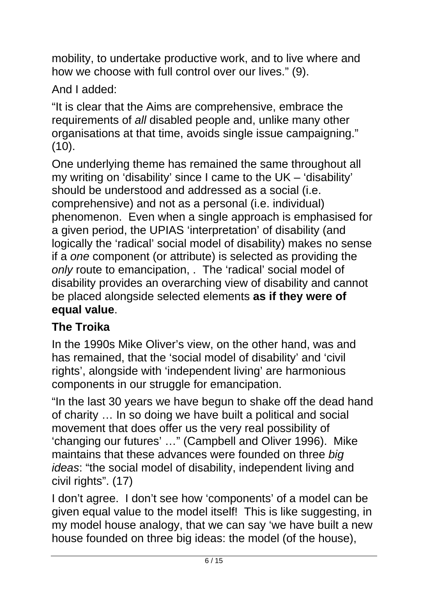mobility, to undertake productive work, and to live where and how we choose with full control over our lives." (9).

And I added:

"It is clear that the Aims are comprehensive, embrace the requirements of *all* disabled people and, unlike many other organisations at that time, avoids single issue campaigning."  $(10).$ 

One underlying theme has remained the same throughout all my writing on 'disability' since I came to the UK – 'disability' should be understood and addressed as a social (i.e. comprehensive) and not as a personal (i.e. individual) phenomenon. Even when a single approach is emphasised for a given period, the UPIAS 'interpretation' of disability (and logically the 'radical' social model of disability) makes no sense if a *one* component (or attribute) is selected as providing the *only* route to emancipation, . The 'radical' social model of disability provides an overarching view of disability and cannot be placed alongside selected elements **as if they were of equal value**.

# **The Troika**

In the 1990s Mike Oliver's view, on the other hand, was and has remained, that the 'social model of disability' and 'civil rights', alongside with 'independent living' are harmonious components in our struggle for emancipation.

"In the last 30 years we have begun to shake off the dead hand of charity … In so doing we have built a political and social movement that does offer us the very real possibility of 'changing our futures' …" (Campbell and Oliver 1996). Mike maintains that these advances were founded on three *big ideas*: "the social model of disability, independent living and civil rights". (17)

I don't agree. I don't see how 'components' of a model can be given equal value to the model itself! This is like suggesting, in my model house analogy, that we can say 'we have built a new house founded on three big ideas: the model (of the house),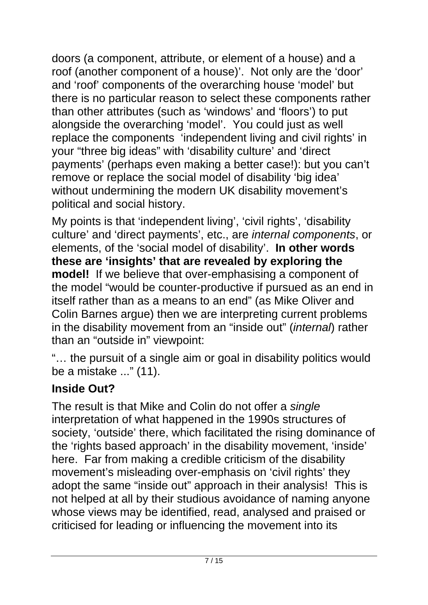doors (a component, attribute, or element of a house) and a roof (another component of a house)'. Not only are the 'door' and 'roof' components of the overarching house 'model' but there is no particular reason to select these components rather than other attributes (such as 'windows' and 'floors') to put alongside the overarching 'model'. You could just as well replace the components 'independent living and civil rights' in your "three big ideas" with 'disability culture' and 'direct payments' (perhaps even making a better case!): but you can't remove or replace the social model of disability 'big idea' without undermining the modern UK disability movement's political and social history.

My points is that 'independent living', 'civil rights', 'disability culture' and 'direct payments', etc., are *internal components*, or elements, of the 'social model of disability'. **In other words these are 'insights' that are revealed by exploring the model!** If we believe that over-emphasising a component of the model "would be counter-productive if pursued as an end in itself rather than as a means to an end" (as Mike Oliver and Colin Barnes argue) then we are interpreting current problems in the disability movement from an "inside out" (*internal*) rather than an "outside in" viewpoint:

"… the pursuit of a single aim or goal in disability politics would be a mistake ..." (11).

## **Inside Out?**

The result is that Mike and Colin do not offer a *single* interpretation of what happened in the 1990s structures of society, 'outside' there, which facilitated the rising dominance of the 'rights based approach' in the disability movement, 'inside' here. Far from making a credible criticism of the disability movement's misleading over-emphasis on 'civil rights' they adopt the same "inside out" approach in their analysis! This is not helped at all by their studious avoidance of naming anyone whose views may be identified, read, analysed and praised or criticised for leading or influencing the movement into its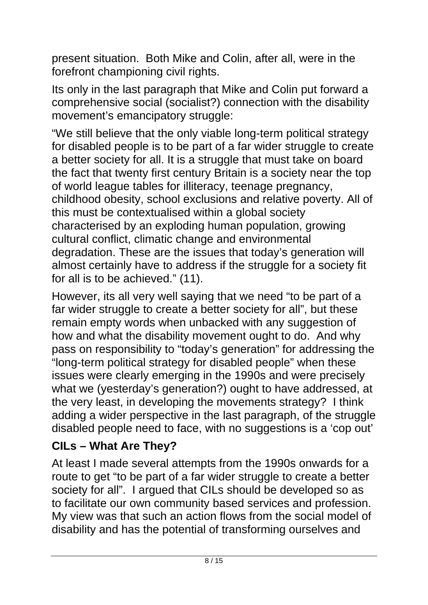present situation. Both Mike and Colin, after all, were in the forefront championing civil rights.

Its only in the last paragraph that Mike and Colin put forward a comprehensive social (socialist?) connection with the disability movement's emancipatory struggle:

"We still believe that the only viable long-term political strategy for disabled people is to be part of a far wider struggle to create a better society for all. It is a struggle that must take on board the fact that twenty first century Britain is a society near the top of world league tables for illiteracy, teenage pregnancy, childhood obesity, school exclusions and relative poverty. All of this must be contextualised within a global society characterised by an exploding human population, growing cultural conflict, climatic change and environmental degradation. These are the issues that today's generation will almost certainly have to address if the struggle for a society fit for all is to be achieved." (11).

However, its all very well saying that we need "to be part of a far wider struggle to create a better society for all", but these remain empty words when unbacked with any suggestion of how and what the disability movement ought to do. And why pass on responsibility to "today's generation" for addressing the "long-term political strategy for disabled people" when these issues were clearly emerging in the 1990s and were precisely what we (yesterday's generation?) ought to have addressed, at the very least, in developing the movements strategy? I think adding a wider perspective in the last paragraph, of the struggle disabled people need to face, with no suggestions is a 'cop out'

## **CILs – What Are They?**

At least I made several attempts from the 1990s onwards for a route to get "to be part of a far wider struggle to create a better society for all". I argued that CILs should be developed so as to facilitate our own community based services and profession. My view was that such an action flows from the social model of disability and has the potential of transforming ourselves and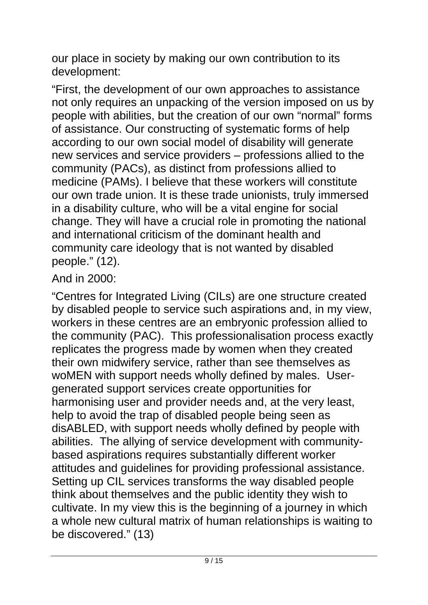our place in society by making our own contribution to its development:

"First, the development of our own approaches to assistance not only requires an unpacking of the version imposed on us by people with abilities, but the creation of our own "normal" forms of assistance. Our constructing of systematic forms of help according to our own social model of disability will generate new services and service providers – professions allied to the community (PACs), as distinct from professions allied to medicine (PAMs). I believe that these workers will constitute our own trade union. It is these trade unionists, truly immersed in a disability culture, who will be a vital engine for social change. They will have a crucial role in promoting the national and international criticism of the dominant health and community care ideology that is not wanted by disabled people." (12).

### And in 2000:

"Centres for Integrated Living (CILs) are one structure created by disabled people to service such aspirations and, in my view, workers in these centres are an embryonic profession allied to the community (PAC). This professionalisation process exactly replicates the progress made by women when they created their own midwifery service, rather than see themselves as woMEN with support needs wholly defined by males. Usergenerated support services create opportunities for harmonising user and provider needs and, at the very least, help to avoid the trap of disabled people being seen as disABLED, with support needs wholly defined by people with abilities. The allying of service development with communitybased aspirations requires substantially different worker attitudes and guidelines for providing professional assistance. Setting up CIL services transforms the way disabled people think about themselves and the public identity they wish to cultivate. In my view this is the beginning of a journey in which a whole new cultural matrix of human relationships is waiting to be discovered." (13)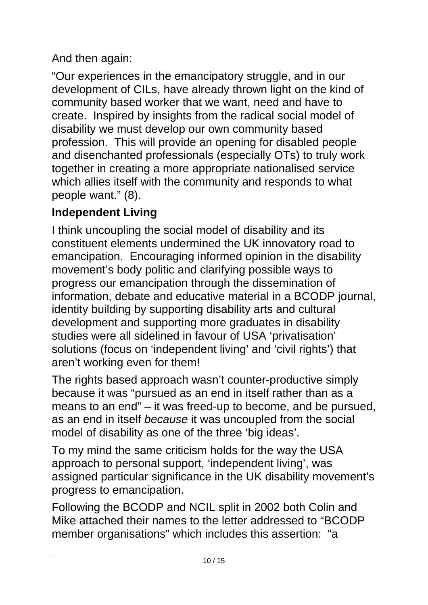## And then again:

"Our experiences in the emancipatory struggle, and in our development of CILs, have already thrown light on the kind of community based worker that we want, need and have to create. Inspired by insights from the radical social model of disability we must develop our own community based profession. This will provide an opening for disabled people and disenchanted professionals (especially OTs) to truly work together in creating a more appropriate nationalised service which allies itself with the community and responds to what people want." (8).

## **Independent Living**

I think uncoupling the social model of disability and its constituent elements undermined the UK innovatory road to emancipation. Encouraging informed opinion in the disability movement's body politic and clarifying possible ways to progress our emancipation through the dissemination of information, debate and educative material in a BCODP journal, identity building by supporting disability arts and cultural development and supporting more graduates in disability studies were all sidelined in favour of USA 'privatisation' solutions (focus on 'independent living' and 'civil rights') that aren't working even for them!

The rights based approach wasn't counter-productive simply because it was "pursued as an end in itself rather than as a means to an end" – it was freed-up to become, and be pursued, as an end in itself *because* it was uncoupled from the social model of disability as one of the three 'big ideas'.

To my mind the same criticism holds for the way the USA approach to personal support, 'independent living', was assigned particular significance in the UK disability movement's progress to emancipation.

Following the BCODP and NCIL split in 2002 both Colin and Mike attached their names to the letter addressed to "BCODP member organisations" which includes this assertion: "a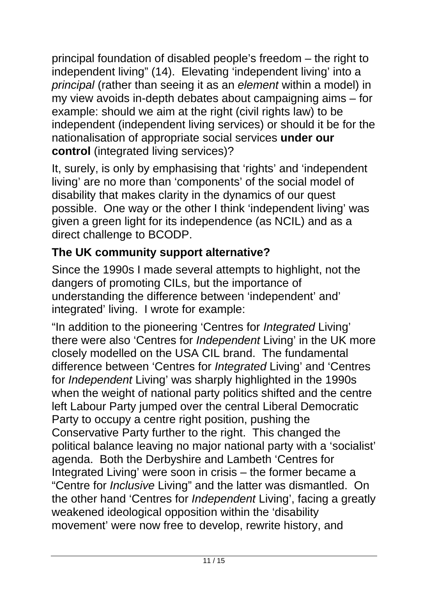principal foundation of disabled people's freedom – the right to independent living" (14). Elevating 'independent living' into a *principal* (rather than seeing it as an *element* within a model) in my view avoids in-depth debates about campaigning aims – for example: should we aim at the right (civil rights law) to be independent (independent living services) or should it be for the nationalisation of appropriate social services **under our control** (integrated living services)?

It, surely, is only by emphasising that 'rights' and 'independent living' are no more than 'components' of the social model of disability that makes clarity in the dynamics of our quest possible. One way or the other I think 'independent living' was given a green light for its independence (as NCIL) and as a direct challenge to BCODP.

## **The UK community support alternative?**

Since the 1990s I made several attempts to highlight, not the dangers of promoting CILs, but the importance of understanding the difference between 'independent' and' integrated' living. I wrote for example:

"In addition to the pioneering 'Centres for *Integrated* Living' there were also 'Centres for *Independent* Living' in the UK more closely modelled on the USA CIL brand. The fundamental difference between 'Centres for *Integrated* Living' and 'Centres for *Independent* Living' was sharply highlighted in the 1990s when the weight of national party politics shifted and the centre left Labour Party jumped over the central Liberal Democratic Party to occupy a centre right position, pushing the Conservative Party further to the right. This changed the political balance leaving no major national party with a 'socialist' agenda. Both the Derbyshire and Lambeth 'Centres for Integrated Living' were soon in crisis – the former became a "Centre for *Inclusive* Living" and the latter was dismantled. On the other hand 'Centres for *Independent* Living', facing a greatly weakened ideological opposition within the 'disability movement' were now free to develop, rewrite history, and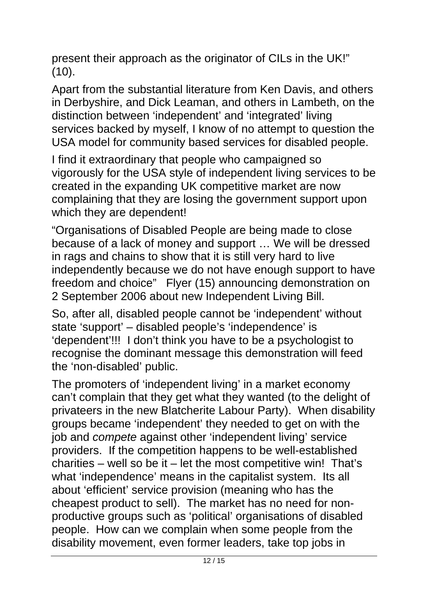present their approach as the originator of CILs in the UK!" (10).

Apart from the substantial literature from Ken Davis, and others in Derbyshire, and Dick Leaman, and others in Lambeth, on the distinction between 'independent' and 'integrated' living services backed by myself, I know of no attempt to question the USA model for community based services for disabled people.

I find it extraordinary that people who campaigned so vigorously for the USA style of independent living services to be created in the expanding UK competitive market are now complaining that they are losing the government support upon which they are dependent!

"Organisations of Disabled People are being made to close because of a lack of money and support … We will be dressed in rags and chains to show that it is still very hard to live independently because we do not have enough support to have freedom and choice" Flyer (15) announcing demonstration on 2 September 2006 about new Independent Living Bill.

So, after all, disabled people cannot be 'independent' without state 'support' – disabled people's 'independence' is 'dependent'!!! I don't think you have to be a psychologist to recognise the dominant message this demonstration will feed the 'non-disabled' public.

The promoters of 'independent living' in a market economy can't complain that they get what they wanted (to the delight of privateers in the new Blatcherite Labour Party). When disability groups became 'independent' they needed to get on with the job and *compete* against other 'independent living' service providers. If the competition happens to be well-established charities – well so be it – let the most competitive win! That's what 'independence' means in the capitalist system. Its all about 'efficient' service provision (meaning who has the cheapest product to sell). The market has no need for nonproductive groups such as 'political' organisations of disabled people. How can we complain when some people from the disability movement, even former leaders, take top jobs in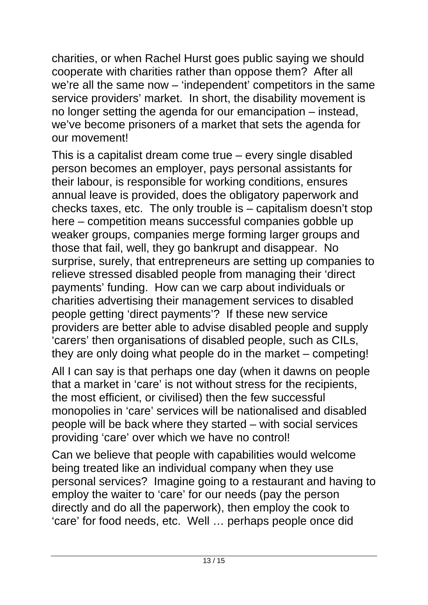charities, or when Rachel Hurst goes public saying we should cooperate with charities rather than oppose them? After all we're all the same now – 'independent' competitors in the same service providers' market. In short, the disability movement is no longer setting the agenda for our emancipation – instead, we've become prisoners of a market that sets the agenda for our movement!

This is a capitalist dream come true – every single disabled person becomes an employer, pays personal assistants for their labour, is responsible for working conditions, ensures annual leave is provided, does the obligatory paperwork and checks taxes, etc. The only trouble is – capitalism doesn't stop here – competition means successful companies gobble up weaker groups, companies merge forming larger groups and those that fail, well, they go bankrupt and disappear. No surprise, surely, that entrepreneurs are setting up companies to relieve stressed disabled people from managing their 'direct payments' funding. How can we carp about individuals or charities advertising their management services to disabled people getting 'direct payments'? If these new service providers are better able to advise disabled people and supply 'carers' then organisations of disabled people, such as CILs, they are only doing what people do in the market – competing!

All I can say is that perhaps one day (when it dawns on people that a market in 'care' is not without stress for the recipients, the most efficient, or civilised) then the few successful monopolies in 'care' services will be nationalised and disabled people will be back where they started – with social services providing 'care' over which we have no control!

Can we believe that people with capabilities would welcome being treated like an individual company when they use personal services? Imagine going to a restaurant and having to employ the waiter to 'care' for our needs (pay the person directly and do all the paperwork), then employ the cook to 'care' for food needs, etc. Well … perhaps people once did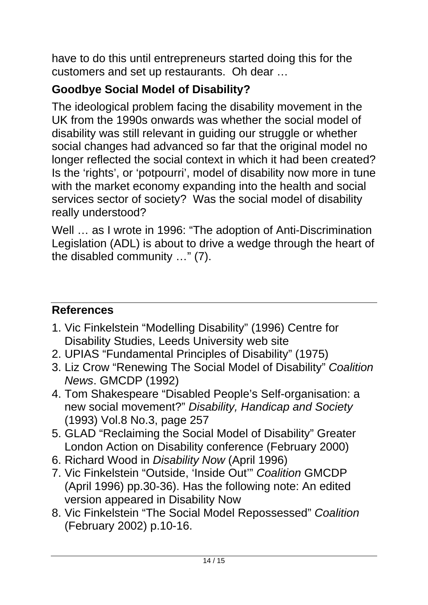have to do this until entrepreneurs started doing this for the customers and set up restaurants. Oh dear …

## **Goodbye Social Model of Disability?**

The ideological problem facing the disability movement in the UK from the 1990s onwards was whether the social model of disability was still relevant in guiding our struggle or whether social changes had advanced so far that the original model no longer reflected the social context in which it had been created? Is the 'rights', or 'potpourri', model of disability now more in tune with the market economy expanding into the health and social services sector of society? Was the social model of disability really understood?

Well … as I wrote in 1996: "The adoption of Anti-Discrimination Legislation (ADL) is about to drive a wedge through the heart of the disabled community …" (7).

## **References**

- 1. Vic Finkelstein "Modelling Disability" (1996) Centre for Disability Studies, Leeds University web site
- 2. UPIAS "Fundamental Principles of Disability" (1975)
- 3. Liz Crow "Renewing The Social Model of Disability" *Coalition News*. GMCDP (1992)
- 4. Tom Shakespeare "Disabled People's Self-organisation: a new social movement?" *Disability, Handicap and Society* (1993) Vol.8 No.3, page 257
- 5. GLAD "Reclaiming the Social Model of Disability" Greater London Action on Disability conference (February 2000)
- 6. Richard Wood in *Disability Now* (April 1996)
- 7. Vic Finkelstein "Outside, 'Inside Out'" *Coalition* GMCDP (April 1996) pp.30-36). Has the following note: An edited version appeared in Disability Now
- 8. Vic Finkelstein "The Social Model Repossessed" *Coalition* (February 2002) p.10-16.